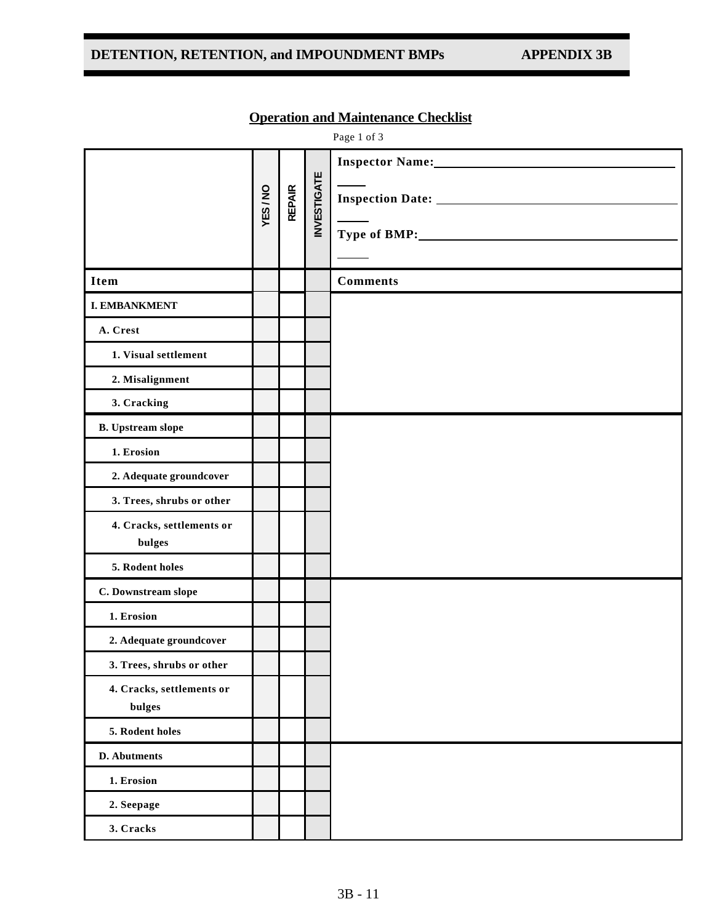## **DETENTION, RETENTION, and IMPOUNDMENT BMPs APPENDIX 3B**

|                                     |        |               |                    | Page 1 of 3     |
|-------------------------------------|--------|---------------|--------------------|-----------------|
|                                     | YES/NO | <b>REPAIR</b> | <b>INVESTIGATE</b> | Type of BMP:    |
| <b>Item</b>                         |        |               |                    | <b>Comments</b> |
| <b>I. EMBANKMENT</b>                |        |               |                    |                 |
| A. Crest                            |        |               |                    |                 |
| 1. Visual settlement                |        |               |                    |                 |
| 2. Misalignment                     |        |               |                    |                 |
| 3. Cracking                         |        |               |                    |                 |
| <b>B.</b> Upstream slope            |        |               |                    |                 |
| 1. Erosion                          |        |               |                    |                 |
| 2. Adequate groundcover             |        |               |                    |                 |
| 3. Trees, shrubs or other           |        |               |                    |                 |
| 4. Cracks, settlements or<br>bulges |        |               |                    |                 |
| 5. Rodent holes                     |        |               |                    |                 |
| C. Downstream slope                 |        |               |                    |                 |
| 1. Erosion                          |        |               |                    |                 |
| 2. Adequate groundcover             |        |               |                    |                 |
| 3. Trees, shrubs or other           |        |               |                    |                 |
| 4. Cracks, settlements or<br>bulges |        |               |                    |                 |
| 5. Rodent holes                     |        |               |                    |                 |
| D. Abutments                        |        |               |                    |                 |
| 1. Erosion                          |        |               |                    |                 |
| 2. Seepage                          |        |               |                    |                 |
| 3. Cracks                           |        |               |                    |                 |

## **Operation and Maintenance Checklist**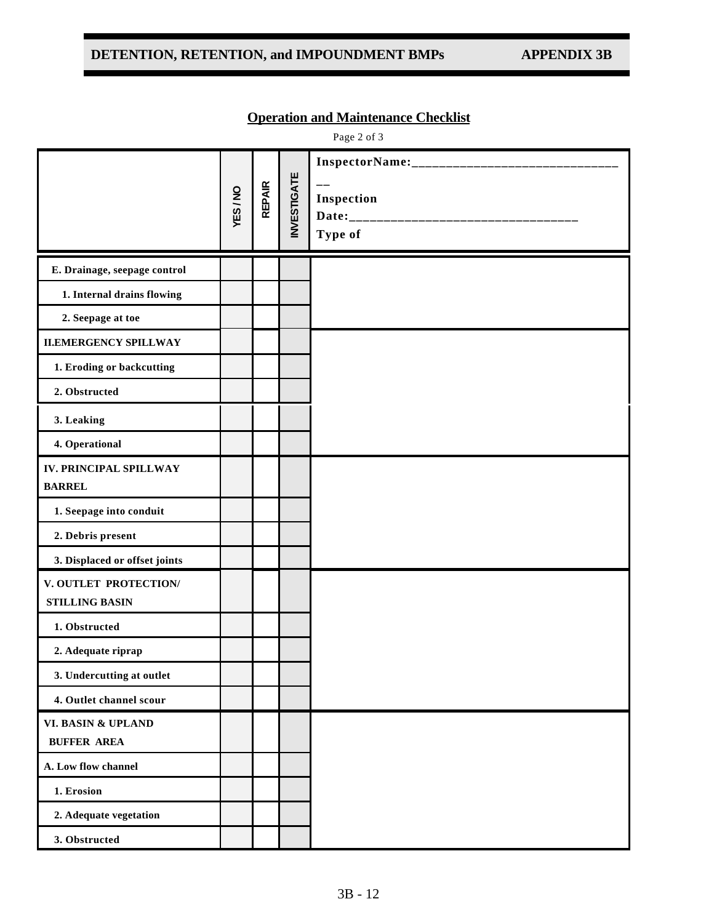## DETENTION, RETENTION, and IMPOUNDMENT BMPs APPENDIX 3B

|  | <b>Operation and Maintenance Checklist</b> |  |
|--|--------------------------------------------|--|
|  |                                            |  |

Page 2 of 3

|                                                | YES/NO | <b>REPAIR</b> | <b>INVESTIGATE</b> | $\qquad \qquad -$<br>Inspection<br>Type of |
|------------------------------------------------|--------|---------------|--------------------|--------------------------------------------|
| E. Drainage, seepage control                   |        |               |                    |                                            |
| 1. Internal drains flowing                     |        |               |                    |                                            |
| 2. Seepage at toe                              |        |               |                    |                                            |
| <b>II.EMERGENCY SPILLWAY</b>                   |        |               |                    |                                            |
| 1. Eroding or backcutting                      |        |               |                    |                                            |
| 2. Obstructed                                  |        |               |                    |                                            |
| 3. Leaking                                     |        |               |                    |                                            |
| 4. Operational                                 |        |               |                    |                                            |
| <b>IV. PRINCIPAL SPILLWAY</b><br><b>BARREL</b> |        |               |                    |                                            |
| 1. Seepage into conduit                        |        |               |                    |                                            |
| 2. Debris present                              |        |               |                    |                                            |
| 3. Displaced or offset joints                  |        |               |                    |                                            |
| V. OUTLET PROTECTION/<br><b>STILLING BASIN</b> |        |               |                    |                                            |
| 1. Obstructed                                  |        |               |                    |                                            |
| 2. Adequate riprap                             |        |               |                    |                                            |
| 3. Undercutting at outlet                      |        |               |                    |                                            |
| 4. Outlet channel scour                        |        |               |                    |                                            |
| VI. BASIN & UPLAND<br><b>BUFFER AREA</b>       |        |               |                    |                                            |
| A. Low flow channel                            |        |               |                    |                                            |
| 1. Erosion                                     |        |               |                    |                                            |
| 2. Adequate vegetation                         |        |               |                    |                                            |
| 3. Obstructed                                  |        |               |                    |                                            |